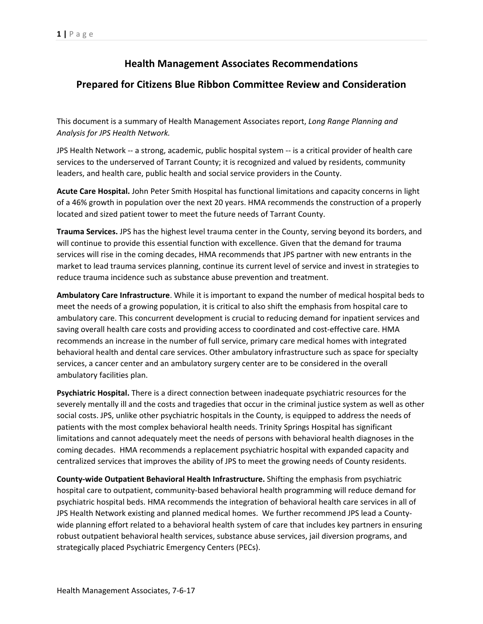## **Health Management Associates Recommendations**

## **Prepared for Citizens Blue Ribbon Committee Review and Consideration**

This document is a summary of Health Management Associates report, *Long Range Planning and Analysis for JPS Health Network.*

JPS Health Network ‐‐ a strong, academic, public hospital system ‐‐ is a critical provider of health care services to the underserved of Tarrant County; it is recognized and valued by residents, community leaders, and health care, public health and social service providers in the County.

**Acute Care Hospital.** John Peter Smith Hospital has functional limitations and capacity concerns in light of a 46% growth in population over the next 20 years. HMA recommends the construction of a properly located and sized patient tower to meet the future needs of Tarrant County.

**Trauma Services.** JPS has the highest level trauma center in the County, serving beyond its borders, and will continue to provide this essential function with excellence. Given that the demand for trauma services will rise in the coming decades, HMA recommends that JPS partner with new entrants in the market to lead trauma services planning, continue its current level of service and invest in strategies to reduce trauma incidence such as substance abuse prevention and treatment.

**Ambulatory Care Infrastructure**. While it is important to expand the number of medical hospital beds to meet the needs of a growing population, it is critical to also shift the emphasis from hospital care to ambulatory care. This concurrent development is crucial to reducing demand for inpatient services and saving overall health care costs and providing access to coordinated and cost-effective care. HMA recommends an increase in the number of full service, primary care medical homes with integrated behavioral health and dental care services. Other ambulatory infrastructure such as space for specialty services, a cancer center and an ambulatory surgery center are to be considered in the overall ambulatory facilities plan.

**Psychiatric Hospital.** There is a direct connection between inadequate psychiatric resources for the severely mentally ill and the costs and tragedies that occur in the criminal justice system as well as other social costs. JPS, unlike other psychiatric hospitals in the County, is equipped to address the needs of patients with the most complex behavioral health needs. Trinity Springs Hospital has significant limitations and cannot adequately meet the needs of persons with behavioral health diagnoses in the coming decades. HMA recommends a replacement psychiatric hospital with expanded capacity and centralized services that improves the ability of JPS to meet the growing needs of County residents.

**County‐wide Outpatient Behavioral Health Infrastructure.** Shifting the emphasis from psychiatric hospital care to outpatient, community-based behavioral health programming will reduce demand for psychiatric hospital beds. HMA recommends the integration of behavioral health care services in all of JPS Health Network existing and planned medical homes. We further recommend JPS lead a County‐ wide planning effort related to a behavioral health system of care that includes key partners in ensuring robust outpatient behavioral health services, substance abuse services, jail diversion programs, and strategically placed Psychiatric Emergency Centers (PECs).